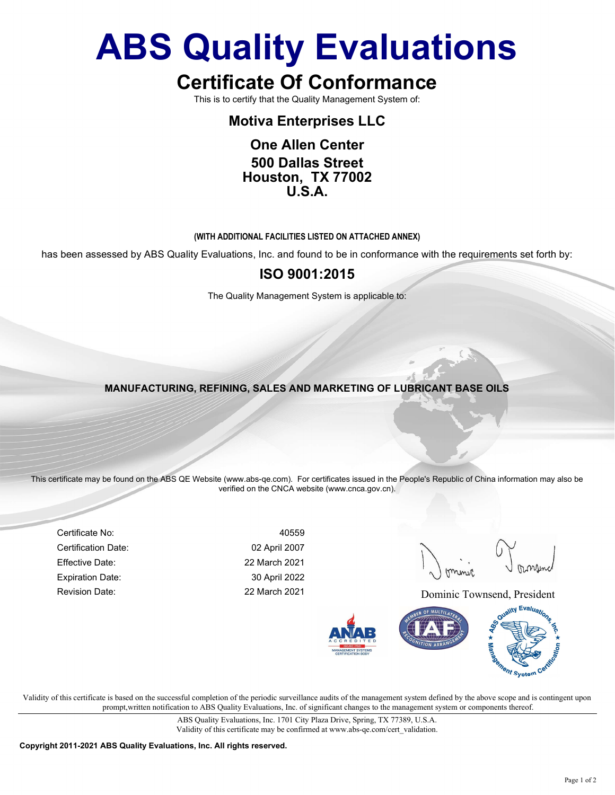# ABS Quality Evaluations

## Certificate Of Conformance

This is to certify that the Quality Management System of:

#### Motiva Enterprises LLC

One Allen Center 500 Dallas Street Houston, TX 77002 U.S.A.

#### (WITH ADDITIONAL FACILITIES LISTED ON ATTACHED ANNEX)

has been assessed by ABS Quality Evaluations, Inc. and found to be in conformance with the requirements set forth by:

#### ISO 9001:2015

The Quality Management System is applicable to:

MANUFACTURING, REFINING, SALES AND MARKETING OF LUBRICANT BASE OILS

This certificate may be found on the ABS QE Website (www.abs-qe.com). For certificates issued in the People's Republic of China information may also be verified on the CNCA website (www.cnca.gov.cn).

Certificate No: 40559 Certification Date: 02 April 2007 Effective Date: 22 March 2021 Expiration Date: 30 April 2022

Revision Date: 22 March 2021 22 March 2021 Dominic Townsend, President



Validity of this certificate is based on the successful completion of the periodic surveillance audits of the management system defined by the above scope and is contingent upon prompt,written notification to ABS Quality Evaluations, Inc. of significant changes to the management system or components thereof.

> ABS Quality Evaluations, Inc. 1701 City Plaza Drive, Spring, TX 77389, U.S.A. Validity of this certificate may be confirmed at www.abs-qe.com/cert\_validation.

Copyright 2011-2021 ABS Quality Evaluations, Inc. All rights reserved.